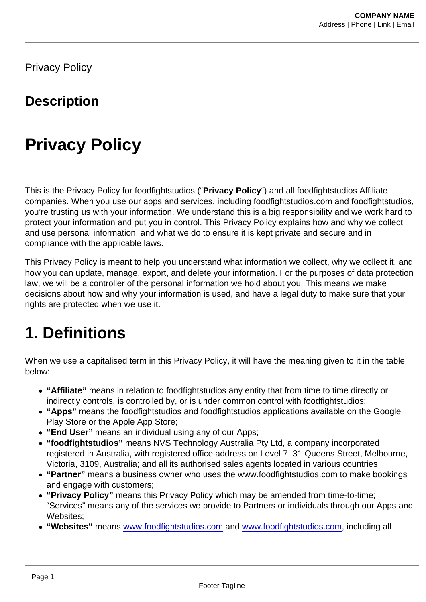Privacy Policy

#### **Description**

# Privacy Policy

This is the Privacy Policy for foodfightstudios ("Privacy Policy ") and all foodfightstudios Affiliate companies. When you use our apps and services, including foodfightstudios.com and foodfightstudios, you're trusting us with your information. We understand this is a big responsibility and we work hard to protect your information and put you in control. This Privacy Policy explains how and why we collect and use personal information, and what we do to ensure it is kept private and secure and in compliance with the applicable laws.

This Privacy Policy is meant to help you understand what information we collect, why we collect it, and how you can update, manage, export, and delete your information. For the purposes of data protection law, we will be a controller of the personal information we hold about you. This means we make decisions about how and why your information is used, and have a legal duty to make sure that your rights are protected when we use it.

### 1. Definitions

When we use a capitalised term in this Privacy Policy, it will have the meaning given to it in the table below:

- "Affiliate" means in relation to foodfightstudios any entity that from time to time directly or indirectly controls, is controlled by, or is under common control with foodfightstudios;
- "Apps" means the foodfightstudios and foodfightstudios applications available on the Google Play Store or the Apple App Store;
- "End User" means an individual using any of our Apps;
- "foodfightstudios" means NVS Technology Australia Pty Ltd, a company incorporated registered in Australia, with registered office address on Level 7, 31 Queens Street, Melbourne, Victoria, 3109, Australia; and all its authorised sales agents located in various countries
- "Partner" means a business owner who uses the www.foodfightstudios.com to make bookings and engage with customers;
- "Privacy Policy" means this Privacy Policy which may be amended from time-to-time; "Services" means any of the services we provide to Partners or individuals through our Apps and Websites;
- "Websites" means [www.foodfightstudios.com](https://www.foodfightstudios.com/) and [www.foodfightstudios.com,](http://www.foodfightstudios.com/) including all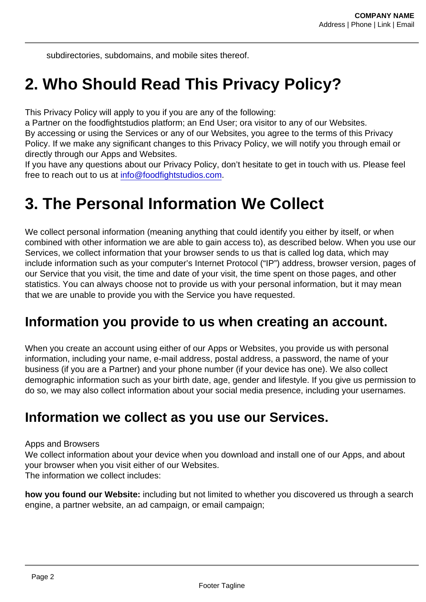subdirectories, subdomains, and mobile sites thereof.

## 2. Who Should Read This Privacy Policy?

This Privacy Policy will apply to you if you are any of the following:

a Partner on the foodfightstudios platform; an End User; ora visitor to any of our Websites. By accessing or using the Services or any of our Websites, you agree to the terms of this Privacy Policy. If we make any significant changes to this Privacy Policy, we will notify you through email or directly through our Apps and Websites.

If you have any questions about our Privacy Policy, don't hesitate to get in touch with us. Please feel free to reach out to us at [info@foodfightstudios.com.](mailto:info@foodfightstudios.com)

### 3. The Personal Information We Collect

We collect personal information (meaning anything that could identify you either by itself, or when combined with other information we are able to gain access to), as described below. When you use our Services, we collect information that your browser sends to us that is called log data, which may include information such as your computer's Internet Protocol ("IP") address, browser version, pages of our Service that you visit, the time and date of your visit, the time spent on those pages, and other statistics. You can always choose not to provide us with your personal information, but it may mean that we are unable to provide you with the Service you have requested.

#### Information you provide to us when creating an account.

When you create an account using either of our Apps or Websites, you provide us with personal information, including your name, e-mail address, postal address, a password, the name of your business (if you are a Partner) and your phone number (if your device has one). We also collect demographic information such as your birth date, age, gender and lifestyle. If you give us permission to do so, we may also collect information about your social media presence, including your usernames.

#### Information we collect as you use our Services.

#### Apps and Browsers

We collect information about your device when you download and install one of our Apps, and about your browser when you visit either of our Websites.

The information we collect includes:

how you found our Website: including but not limited to whether you discovered us through a search engine, a partner website, an ad campaign, or email campaign;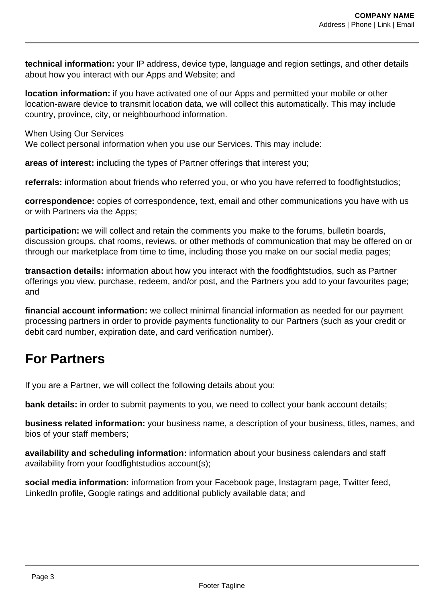**technical information:** your IP address, device type, language and region settings, and other details about how you interact with our Apps and Website; and

**location information:** if you have activated one of our Apps and permitted your mobile or other location-aware device to transmit location data, we will collect this automatically. This may include country, province, city, or neighbourhood information.

When Using Our Services

We collect personal information when you use our Services. This may include:

**areas of interest:** including the types of Partner offerings that interest you;

**referrals:** information about friends who referred you, or who you have referred to foodfightstudios;

**correspondence:** copies of correspondence, text, email and other communications you have with us or with Partners via the Apps;

**participation:** we will collect and retain the comments you make to the forums, bulletin boards, discussion groups, chat rooms, reviews, or other methods of communication that may be offered on or through our marketplace from time to time, including those you make on our social media pages;

**transaction details:** information about how you interact with the foodfightstudios, such as Partner offerings you view, purchase, redeem, and/or post, and the Partners you add to your favourites page; and

**financial account information:** we collect minimal financial information as needed for our payment processing partners in order to provide payments functionality to our Partners (such as your credit or debit card number, expiration date, and card verification number).

### **For Partners**

If you are a Partner, we will collect the following details about you:

**bank details:** in order to submit payments to you, we need to collect your bank account details;

**business related information:** your business name, a description of your business, titles, names, and bios of your staff members;

**availability and scheduling information:** information about your business calendars and staff availability from your foodfightstudios account(s);

**social media information:** information from your Facebook page, Instagram page, Twitter feed, LinkedIn profile, Google ratings and additional publicly available data; and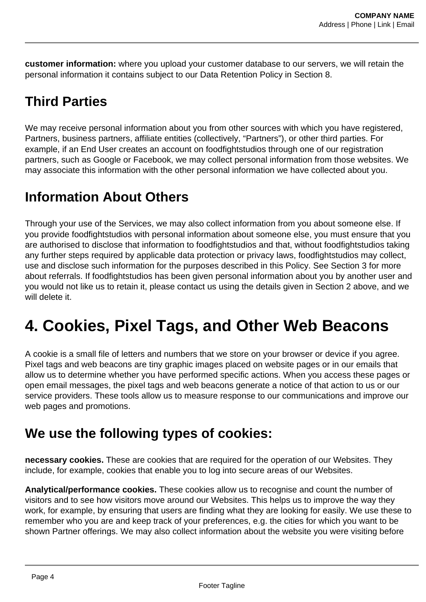**customer information:** where you upload your customer database to our servers, we will retain the personal information it contains subject to our Data Retention Policy in Section 8.

### **Third Parties**

We may receive personal information about you from other sources with which you have registered, Partners, business partners, affiliate entities (collectively, "Partners"), or other third parties. For example, if an End User creates an account on foodfightstudios through one of our registration partners, such as Google or Facebook, we may collect personal information from those websites. We may associate this information with the other personal information we have collected about you.

### **Information About Others**

Through your use of the Services, we may also collect information from you about someone else. If you provide foodfightstudios with personal information about someone else, you must ensure that you are authorised to disclose that information to foodfightstudios and that, without foodfightstudios taking any further steps required by applicable data protection or privacy laws, foodfightstudios may collect, use and disclose such information for the purposes described in this Policy. See Section 3 for more about referrals. If foodfightstudios has been given personal information about you by another user and you would not like us to retain it, please contact us using the details given in Section 2 above, and we will delete it.

# **4. Cookies, Pixel Tags, and Other Web Beacons**

A cookie is a small file of letters and numbers that we store on your browser or device if you agree. Pixel tags and web beacons are tiny graphic images placed on website pages or in our emails that allow us to determine whether you have performed specific actions. When you access these pages or open email messages, the pixel tags and web beacons generate a notice of that action to us or our service providers. These tools allow us to measure response to our communications and improve our web pages and promotions.

### **We use the following types of cookies:**

**necessary cookies.** These are cookies that are required for the operation of our Websites. They include, for example, cookies that enable you to log into secure areas of our Websites.

**Analytical/performance cookies.** These cookies allow us to recognise and count the number of visitors and to see how visitors move around our Websites. This helps us to improve the way they work, for example, by ensuring that users are finding what they are looking for easily. We use these to remember who you are and keep track of your preferences, e.g. the cities for which you want to be shown Partner offerings. We may also collect information about the website you were visiting before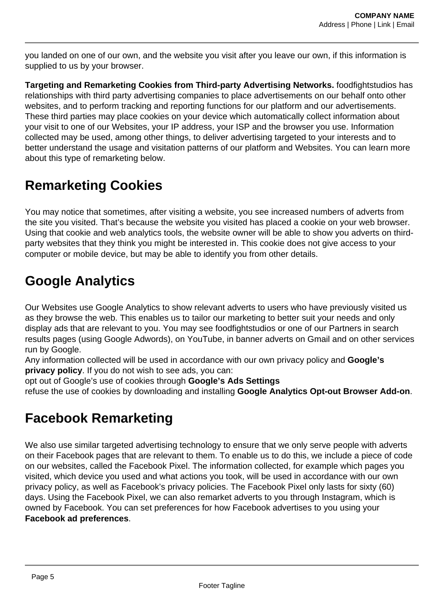you landed on one of our own, and the website you visit after you leave our own, if this information is supplied to us by your browser.

**Targeting and Remarketing Cookies from Third-party Advertising Networks.** foodfightstudios has relationships with third party advertising companies to place advertisements on our behalf onto other websites, and to perform tracking and reporting functions for our platform and our advertisements. These third parties may place cookies on your device which automatically collect information about your visit to one of our Websites, your IP address, your ISP and the browser you use. Information collected may be used, among other things, to deliver advertising targeted to your interests and to better understand the usage and visitation patterns of our platform and Websites. You can learn more about this type of remarketing below.

### **Remarketing Cookies**

You may notice that sometimes, after visiting a website, you see increased numbers of adverts from the site you visited. That's because the website you visited has placed a cookie on your web browser. Using that cookie and web analytics tools, the website owner will be able to show you adverts on thirdparty websites that they think you might be interested in. This cookie does not give access to your computer or mobile device, but may be able to identify you from other details.

### **Google Analytics**

Our Websites use Google Analytics to show relevant adverts to users who have previously visited us as they browse the web. This enables us to tailor our marketing to better suit your needs and only display ads that are relevant to you. You may see foodfightstudios or one of our Partners in search results pages (using Google Adwords), on YouTube, in banner adverts on Gmail and on other services run by Google.

Any information collected will be used in accordance with our own privacy policy and **Google's privacy policy**. If you do not wish to see ads, you can:

opt out of Google's use of cookies through **Google's Ads Settings**

refuse the use of cookies by downloading and installing **Google Analytics Opt-out Browser Add-on**.

### **Facebook Remarketing**

We also use similar targeted advertising technology to ensure that we only serve people with adverts on their Facebook pages that are relevant to them. To enable us to do this, we include a piece of code on our websites, called the Facebook Pixel. The information collected, for example which pages you visited, which device you used and what actions you took, will be used in accordance with our own privacy policy, as well as Facebook's privacy policies. The Facebook Pixel only lasts for sixty (60) days. Using the Facebook Pixel, we can also remarket adverts to you through Instagram, which is owned by Facebook. You can set preferences for how Facebook advertises to you using your **Facebook ad preferences**.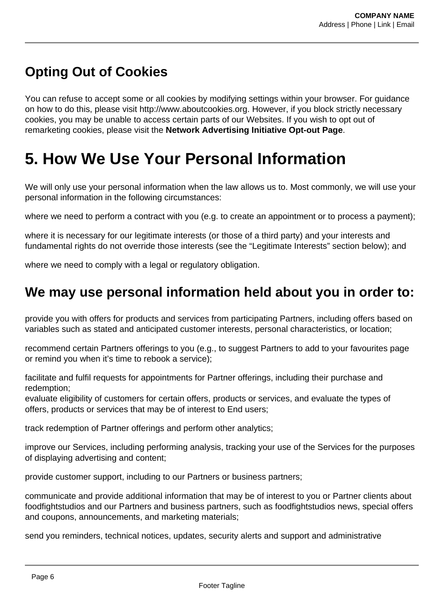### **Opting Out of Cookies**

You can refuse to accept some or all cookies by modifying settings within your browser. For guidance on how to do this, please visit http://www.aboutcookies.org. However, if you block strictly necessary cookies, you may be unable to access certain parts of our Websites. If you wish to opt out of remarketing cookies, please visit the **Network Advertising Initiative Opt-out Page**.

## **5. How We Use Your Personal Information**

We will only use your personal information when the law allows us to. Most commonly, we will use your personal information in the following circumstances:

where we need to perform a contract with you (e.g. to create an appointment or to process a payment);

where it is necessary for our legitimate interests (or those of a third party) and your interests and fundamental rights do not override those interests (see the "Legitimate Interests" section below); and

where we need to comply with a legal or regulatory obligation.

#### **We may use personal information held about you in order to:**

provide you with offers for products and services from participating Partners, including offers based on variables such as stated and anticipated customer interests, personal characteristics, or location;

recommend certain Partners offerings to you (e.g., to suggest Partners to add to your favourites page or remind you when it's time to rebook a service);

facilitate and fulfil requests for appointments for Partner offerings, including their purchase and redemption;

evaluate eligibility of customers for certain offers, products or services, and evaluate the types of offers, products or services that may be of interest to End users;

track redemption of Partner offerings and perform other analytics;

improve our Services, including performing analysis, tracking your use of the Services for the purposes of displaying advertising and content;

provide customer support, including to our Partners or business partners;

communicate and provide additional information that may be of interest to you or Partner clients about foodfightstudios and our Partners and business partners, such as foodfightstudios news, special offers and coupons, announcements, and marketing materials;

send you reminders, technical notices, updates, security alerts and support and administrative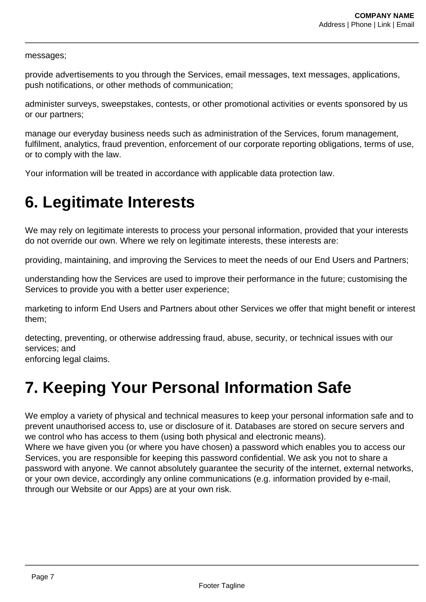#### messages;

provide advertisements to you through the Services, email messages, text messages, applications, push notifications, or other methods of communication;

administer surveys, sweepstakes, contests, or other promotional activities or events sponsored by us or our partners;

manage our everyday business needs such as administration of the Services, forum management, fulfilment, analytics, fraud prevention, enforcement of our corporate reporting obligations, terms of use, or to comply with the law.

Your information will be treated in accordance with applicable data protection law.

## **6. Legitimate Interests**

We may rely on legitimate interests to process your personal information, provided that your interests do not override our own. Where we rely on legitimate interests, these interests are:

providing, maintaining, and improving the Services to meet the needs of our End Users and Partners;

understanding how the Services are used to improve their performance in the future; customising the Services to provide you with a better user experience;

marketing to inform End Users and Partners about other Services we offer that might benefit or interest them;

detecting, preventing, or otherwise addressing fraud, abuse, security, or technical issues with our services; and

enforcing legal claims.

# **7. Keeping Your Personal Information Safe**

We employ a variety of physical and technical measures to keep your personal information safe and to prevent unauthorised access to, use or disclosure of it. Databases are stored on secure servers and we control who has access to them (using both physical and electronic means).

Where we have given you (or where you have chosen) a password which enables you to access our Services, you are responsible for keeping this password confidential. We ask you not to share a password with anyone. We cannot absolutely guarantee the security of the internet, external networks, or your own device, accordingly any online communications (e.g. information provided by e-mail, through our Website or our Apps) are at your own risk.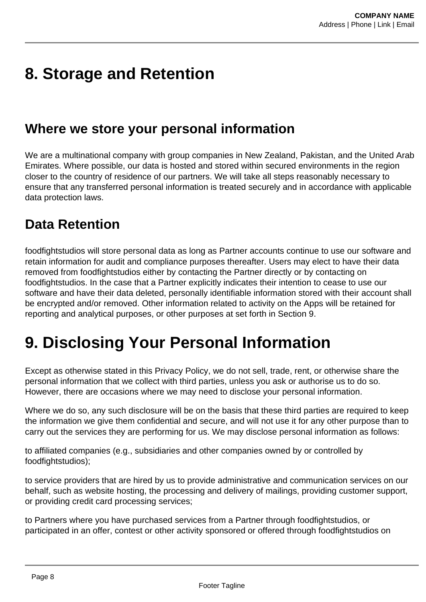## **8. Storage and Retention**

#### **Where we store your personal information**

We are a multinational company with group companies in New Zealand, Pakistan, and the United Arab Emirates. Where possible, our data is hosted and stored within secured environments in the region closer to the country of residence of our partners. We will take all steps reasonably necessary to ensure that any transferred personal information is treated securely and in accordance with applicable data protection laws.

### **Data Retention**

foodfightstudios will store personal data as long as Partner accounts continue to use our software and retain information for audit and compliance purposes thereafter. Users may elect to have their data removed from foodfightstudios either by contacting the Partner directly or by contacting on foodfightstudios. In the case that a Partner explicitly indicates their intention to cease to use our software and have their data deleted, personally identifiable information stored with their account shall be encrypted and/or removed. Other information related to activity on the Apps will be retained for reporting and analytical purposes, or other purposes at set forth in Section 9.

# **9. Disclosing Your Personal Information**

Except as otherwise stated in this Privacy Policy, we do not sell, trade, rent, or otherwise share the personal information that we collect with third parties, unless you ask or authorise us to do so. However, there are occasions where we may need to disclose your personal information.

Where we do so, any such disclosure will be on the basis that these third parties are required to keep the information we give them confidential and secure, and will not use it for any other purpose than to carry out the services they are performing for us. We may disclose personal information as follows:

to affiliated companies (e.g., subsidiaries and other companies owned by or controlled by foodfightstudios);

to service providers that are hired by us to provide administrative and communication services on our behalf, such as website hosting, the processing and delivery of mailings, providing customer support, or providing credit card processing services;

to Partners where you have purchased services from a Partner through foodfightstudios, or participated in an offer, contest or other activity sponsored or offered through foodfightstudios on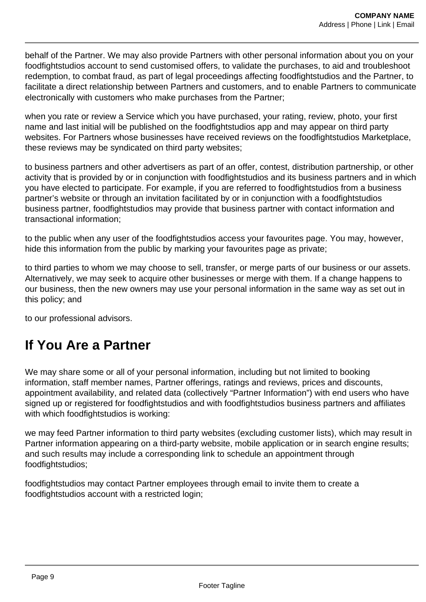behalf of the Partner. We may also provide Partners with other personal information about you on your foodfightstudios account to send customised offers, to validate the purchases, to aid and troubleshoot redemption, to combat fraud, as part of legal proceedings affecting foodfightstudios and the Partner, to facilitate a direct relationship between Partners and customers, and to enable Partners to communicate electronically with customers who make purchases from the Partner;

when you rate or review a Service which you have purchased, your rating, review, photo, your first name and last initial will be published on the foodfightstudios app and may appear on third party websites. For Partners whose businesses have received reviews on the foodfightstudios Marketplace, these reviews may be syndicated on third party websites;

to business partners and other advertisers as part of an offer, contest, distribution partnership, or other activity that is provided by or in conjunction with foodfightstudios and its business partners and in which you have elected to participate. For example, if you are referred to foodfightstudios from a business partner's website or through an invitation facilitated by or in conjunction with a foodfightstudios business partner, foodfightstudios may provide that business partner with contact information and transactional information;

to the public when any user of the foodfightstudios access your favourites page. You may, however, hide this information from the public by marking your favourites page as private;

to third parties to whom we may choose to sell, transfer, or merge parts of our business or our assets. Alternatively, we may seek to acquire other businesses or merge with them. If a change happens to our business, then the new owners may use your personal information in the same way as set out in this policy; and

to our professional advisors.

### **If You Are a Partner**

We may share some or all of your personal information, including but not limited to booking information, staff member names, Partner offerings, ratings and reviews, prices and discounts, appointment availability, and related data (collectively "Partner Information") with end users who have signed up or registered for foodfightstudios and with foodfightstudios business partners and affiliates with which foodfightstudios is working:

we may feed Partner information to third party websites (excluding customer lists), which may result in Partner information appearing on a third-party website, mobile application or in search engine results; and such results may include a corresponding link to schedule an appointment through foodfightstudios;

foodfightstudios may contact Partner employees through email to invite them to create a foodfightstudios account with a restricted login;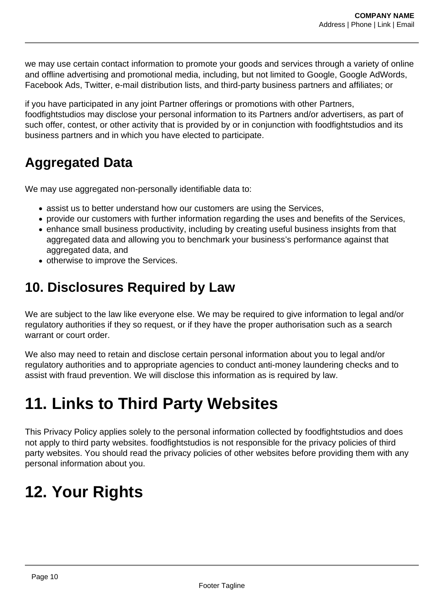we may use certain contact information to promote your goods and services through a variety of online and offline advertising and promotional media, including, but not limited to Google, Google AdWords, Facebook Ads, Twitter, e-mail distribution lists, and third-party business partners and affiliates; or

if you have participated in any joint Partner offerings or promotions with other Partners, foodfightstudios may disclose your personal information to its Partners and/or advertisers, as part of such offer, contest, or other activity that is provided by or in conjunction with foodfightstudios and its business partners and in which you have elected to participate.

### **Aggregated Data**

We may use aggregated non-personally identifiable data to:

- assist us to better understand how our customers are using the Services,
- provide our customers with further information regarding the uses and benefits of the Services,
- enhance small business productivity, including by creating useful business insights from that aggregated data and allowing you to benchmark your business's performance against that aggregated data, and
- otherwise to improve the Services.

### **10. Disclosures Required by Law**

We are subject to the law like everyone else. We may be required to give information to legal and/or regulatory authorities if they so request, or if they have the proper authorisation such as a search warrant or court order.

We also may need to retain and disclose certain personal information about you to legal and/or regulatory authorities and to appropriate agencies to conduct anti-money laundering checks and to assist with fraud prevention. We will disclose this information as is required by law.

# **11. Links to Third Party Websites**

This Privacy Policy applies solely to the personal information collected by foodfightstudios and does not apply to third party websites. foodfightstudios is not responsible for the privacy policies of third party websites. You should read the privacy policies of other websites before providing them with any personal information about you.

# **12. Your Rights**